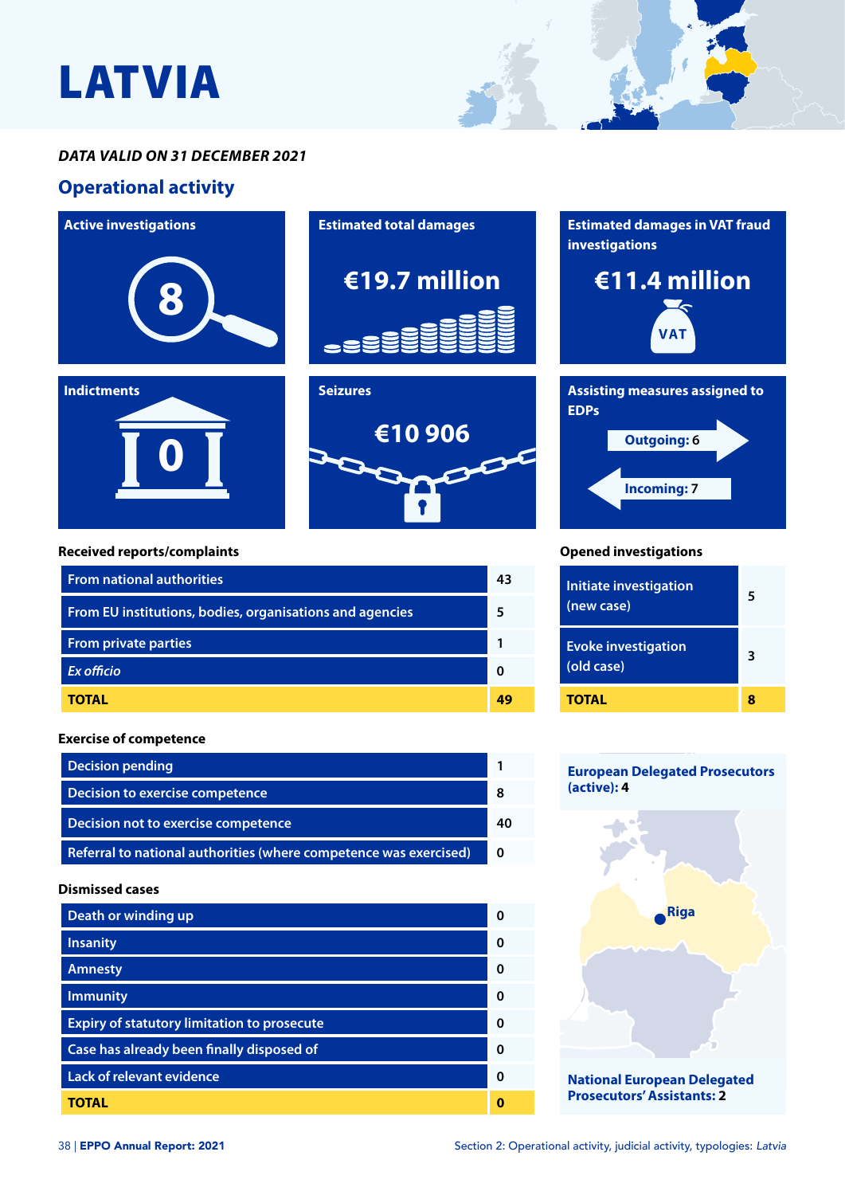# LATVIA

#### *DATA VALID ON 31 DECEMBER 2021*

## **Operational activity**



#### **European Delegated Prosecutors (active): 4**



### **Dismissed cases**

| Death or winding up                                | ŋ |
|----------------------------------------------------|---|
| <b>Insanity</b>                                    | n |
| <b>Amnesty</b>                                     | O |
| <b>Immunity</b>                                    | O |
| <b>Expiry of statutory limitation to prosecute</b> | O |
| Case has already been finally disposed of          | O |
| <b>Lack of relevant evidence</b>                   | O |
| TOTAL                                              |   |

**Decision pending 1 Decision to exercise competence 88** 

**Decision not to exercise competence 40**

**Referral to national authorities (where competence was exercised) 0**